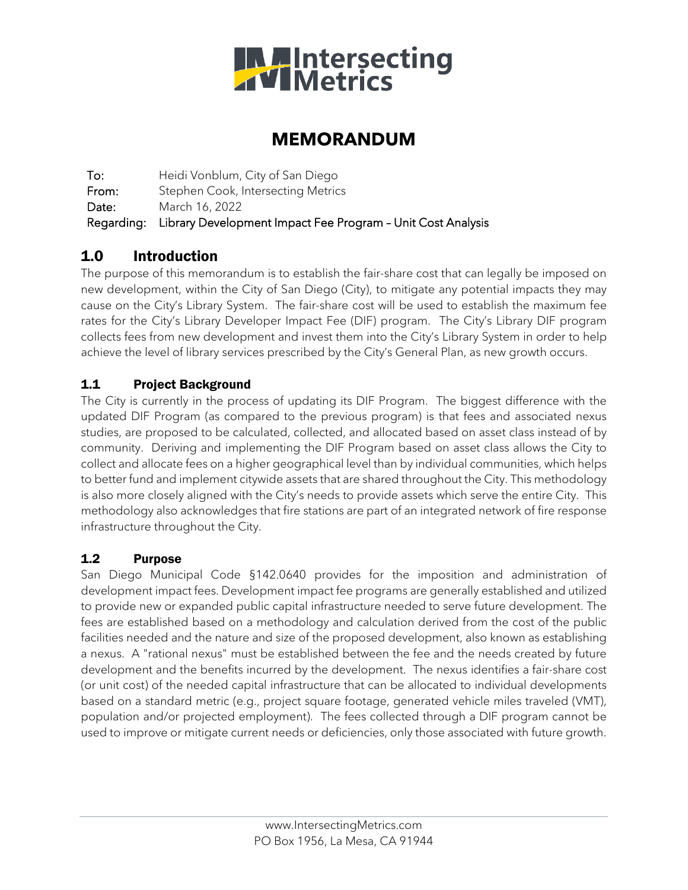

## **MEMORANDUM**

To: Heidi Vonblum, City of San Diego From: Stephen Cook, Intersecting Metrics Date: March 16, 2022 Regarding: Library Development Impact Fee Program – Unit Cost Analysis

## 1.0 Introduction

The purpose of this memorandum is to establish the fair-share cost that can legally be imposed on new development, within the City of San Diego (City), to mitigate any potential impacts they may cause on the City's Library System. The fair-share cost will be used to establish the maximum fee rates for the City's Library Developer Impact Fee (DIF) program. The City's Library DIF program collects fees from new development and invest them into the City's Library System in order to help achieve the level of library services prescribed by the City's General Plan, as new growth occurs.

#### 1.1 Project Background

The City is currently in the process of updating its DIF Program. The biggest difference with the updated DIF Program (as compared to the previous program) is that fees and associated nexus studies, are proposed to be calculated, collected, and allocated based on asset class instead of by community. Deriving and implementing the DIF Program based on asset class allows the City to collect and allocate fees on a higher geographical level than by individual communities, which helps to better fund and implement citywide assets that are shared throughout the City. This methodology is also more closely aligned with the City's needs to provide assets which serve the entire City. This methodology also acknowledges that fire stations are part of an integrated network of fire response infrastructure throughout the City.

#### 1.2 Purpose

San Diego Municipal Code §142.0640 provides for the imposition and administration of development impact fees. Development impact fee programs are generally established and utilized to provide new or expanded public capital infrastructure needed to serve future development. The fees are established based on a methodology and calculation derived from the cost of the public facilities needed and the nature and size of the proposed development, also known as establishing a nexus. A "rational nexus" must be established between the fee and the needs created by future development and the benefits incurred by the development. The nexus identifies a fair-share cost (or unit cost) of the needed capital infrastructure that can be allocated to individual developments based on a standard metric (e.g., project square footage, generated vehicle miles traveled (VMT), population and/or projected employment). The fees collected through a DIF program cannot be used to improve or mitigate current needs or deficiencies, only those associated with future growth.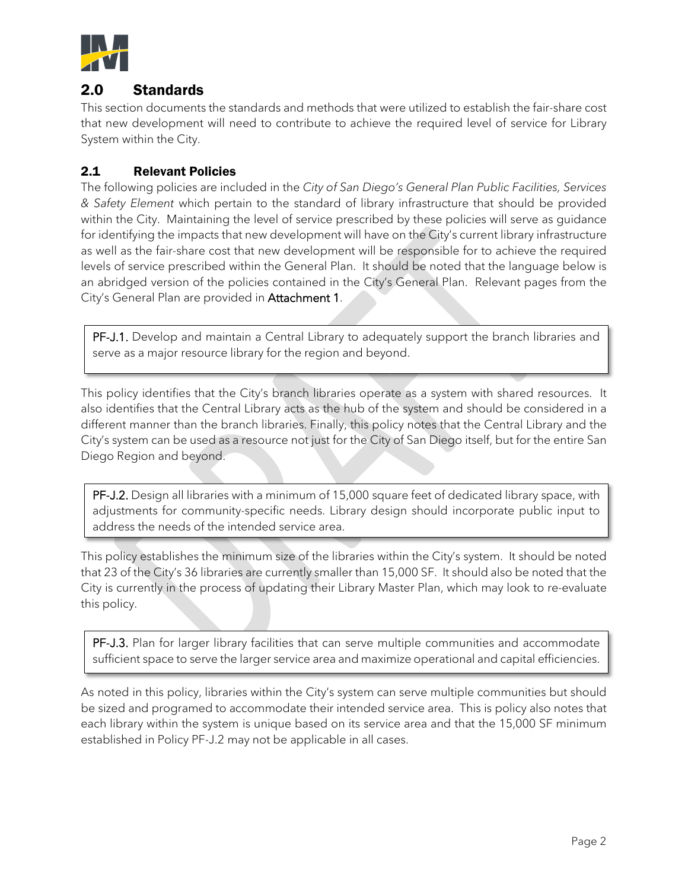

### 2.0 Standards

This section documents the standards and methods that were utilized to establish the fair-share cost that new development will need to contribute to achieve the required level of service for Library System within the City.

#### 2.1 Relevant Policies

The following policies are included in the *City of San Diego's General Plan Public Facilities, Services & Safety Element* which pertain to the standard of library infrastructure that should be provided within the City. Maintaining the level of service prescribed by these policies will serve as guidance for identifying the impacts that new development will have on the City's current library infrastructure as well as the fair-share cost that new development will be responsible for to achieve the required levels of service prescribed within the General Plan. It should be noted that the language below is an abridged version of the policies contained in the City's General Plan. Relevant pages from the City's General Plan are provided in Attachment 1.

PF-J.1. Develop and maintain a Central Library to adequately support the branch libraries and serve as a major resource library for the region and beyond.

This policy identifies that the City's branch libraries operate as a system with shared resources. It also identifies that the Central Library acts as the hub of the system and should be considered in a different manner than the branch libraries. Finally, this policy notes that the Central Library and the City's system can be used as a resource not just for the City of San Diego itself, but for the entire San Diego Region and beyond.

PF-J.2. Design all libraries with a minimum of 15,000 square feet of dedicated library space, with adjustments for community-specific needs. Library design should incorporate public input to address the needs of the intended service area.

This policy establishes the minimum size of the libraries within the City's system. It should be noted that 23 of the City's 36 libraries are currently smaller than 15,000 SF. It should also be noted that the City is currently in the process of updating their Library Master Plan, which may look to re-evaluate this policy.

PF-J.3. Plan for larger library facilities that can serve multiple communities and accommodate sufficient space to serve the larger service area and maximize operational and capital efficiencies.

As noted in this policy, libraries within the City's system can serve multiple communities but should be sized and programed to accommodate their intended service area. This is policy also notes that each library within the system is unique based on its service area and that the 15,000 SF minimum established in Policy PF-J.2 may not be applicable in all cases.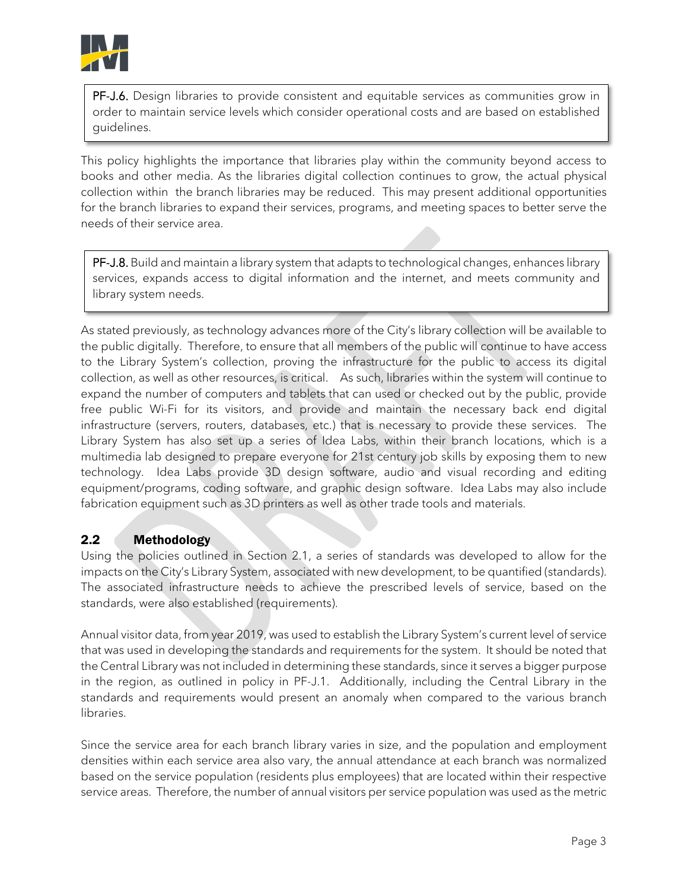

PF-J.6. Design libraries to provide consistent and equitable services as communities grow in order to maintain service levels which consider operational costs and are based on established guidelines.

This policy highlights the importance that libraries play within the community beyond access to books and other media. As the libraries digital collection continues to grow, the actual physical collection within the branch libraries may be reduced. This may present additional opportunities for the branch libraries to expand their services, programs, and meeting spaces to better serve the needs of their service area.

PF-J.8. Build and maintain a library system that adapts to technological changes, enhances library services, expands access to digital information and the internet, and meets community and library system needs.

As stated previously, as technology advances more of the City's library collection will be available to the public digitally. Therefore, to ensure that all members of the public will continue to have access to the Library System's collection, proving the infrastructure for the public to access its digital collection, as well as other resources, is critical. As such, libraries within the system will continue to expand the number of computers and tablets that can used or checked out by the public, provide free public Wi-Fi for its visitors, and provide and maintain the necessary back end digital infrastructure (servers, routers, databases, etc.) that is necessary to provide these services. The Library System has also set up a series of Idea Labs, within their branch locations, which is a multimedia lab designed to prepare everyone for 21st century job skills by exposing them to new technology. Idea Labs provide 3D design software, audio and visual recording and editing equipment/programs, coding software, and graphic design software. Idea Labs may also include fabrication equipment such as 3D printers as well as other trade tools and materials.

#### 2.2 Methodology

Using the policies outlined in Section 2.1, a series of standards was developed to allow for the impacts on the City's Library System, associated with new development, to be quantified (standards). The associated infrastructure needs to achieve the prescribed levels of service, based on the standards, were also established (requirements).

Annual visitor data, from year 2019, was used to establish the Library System's current level of service that was used in developing the standards and requirements for the system. It should be noted that the Central Library was not included in determining these standards, since it serves a bigger purpose in the region, as outlined in policy in PF-J.1. Additionally, including the Central Library in the standards and requirements would present an anomaly when compared to the various branch libraries.

Since the service area for each branch library varies in size, and the population and employment densities within each service area also vary, the annual attendance at each branch was normalized based on the service population (residents plus employees) that are located within their respective service areas. Therefore, the number of annual visitors per service population was used as the metric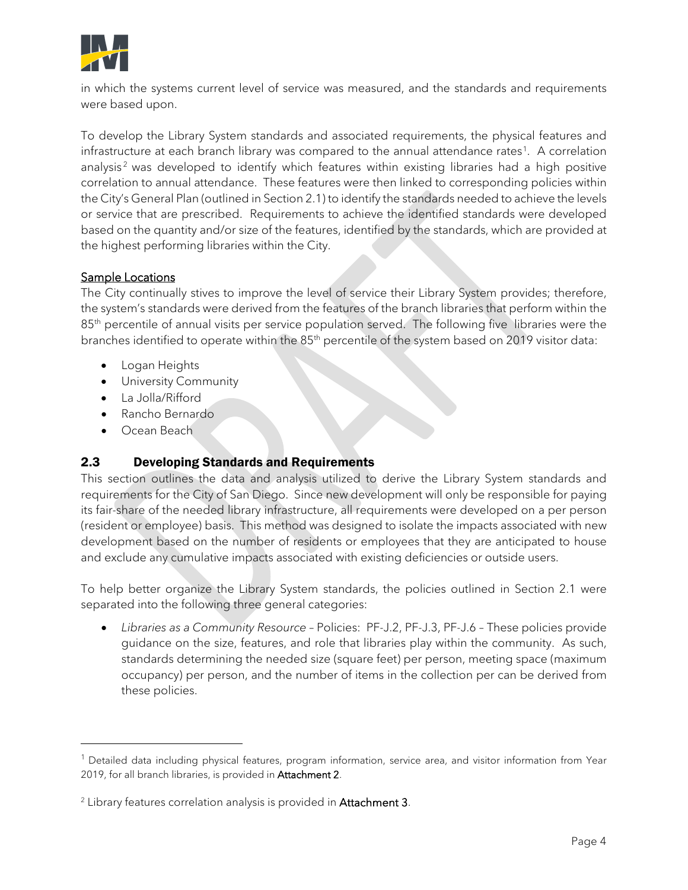

in which the systems current level of service was measured, and the standards and requirements were based upon.

To develop the Library System standards and associated requirements, the physical features and infrastructure at each branch library was compared to the annual attendance rates<sup>[1](#page-3-0)</sup>. A correlation analysis<sup>[2](#page-3-1)</sup> was developed to identify which features within existing libraries had a high positive correlation to annual attendance. These features were then linked to corresponding policies within the City's General Plan (outlined in Section 2.1) to identify the standards needed to achieve the levels or service that are prescribed. Requirements to achieve the identified standards were developed based on the quantity and/or size of the features, identified by the standards, which are provided at the highest performing libraries within the City.

#### Sample Locations

The City continually stives to improve the level of service their Library System provides; therefore, the system's standards were derived from the features of the branch libraries that perform within the 85<sup>th</sup> percentile of annual visits per service population served. The following five libraries were the branches identified to operate within the 85<sup>th</sup> percentile of the system based on 2019 visitor data:

- Logan Heights
- University Community
- La Jolla/Rifford
- Rancho Bernardo
- Ocean Beach

#### 2.3 Developing Standards and Requirements

This section outlines the data and analysis utilized to derive the Library System standards and requirements for the City of San Diego. Since new development will only be responsible for paying its fair-share of the needed library infrastructure, all requirements were developed on a per person (resident or employee) basis. This method was designed to isolate the impacts associated with new development based on the number of residents or employees that they are anticipated to house and exclude any cumulative impacts associated with existing deficiencies or outside users.

To help better organize the Library System standards, the policies outlined in Section 2.1 were separated into the following three general categories:

• *Libraries as a Community Resource* – Policies: PF-J.2, PF-J.3, PF-J.6 – These policies provide guidance on the size, features, and role that libraries play within the community. As such, standards determining the needed size (square feet) per person, meeting space (maximum occupancy) per person, and the number of items in the collection per can be derived from these policies.

<span id="page-3-0"></span><sup>&</sup>lt;sup>1</sup> Detailed data including physical features, program information, service area, and visitor information from Year 2019, for all branch libraries, is provided in Attachment 2.

<span id="page-3-1"></span><sup>&</sup>lt;sup>2</sup> Library features correlation analysis is provided in Attachment 3.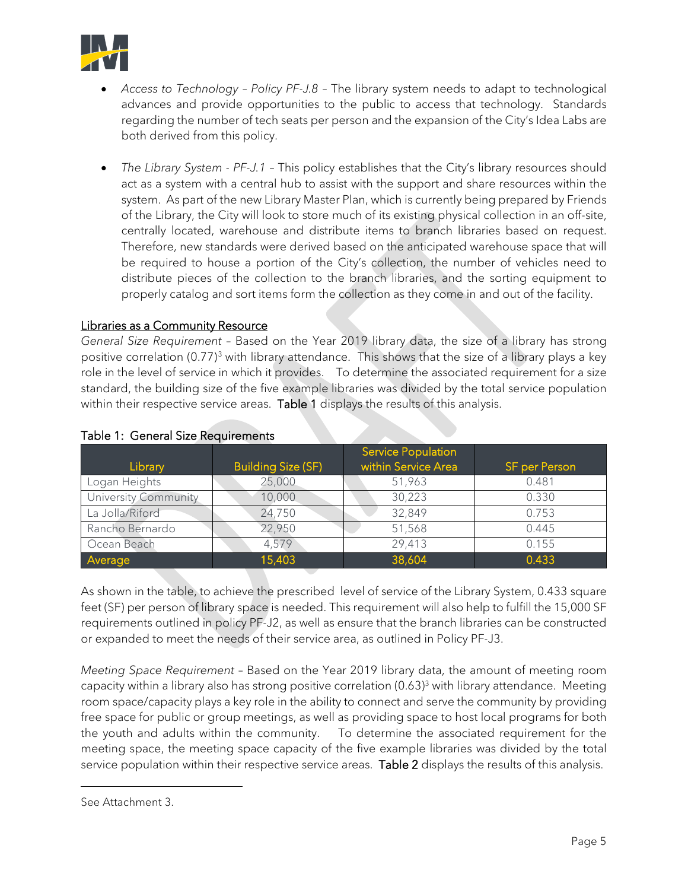

- *Access to Technology Policy PF-J.8 –* The library system needs to adapt to technological advances and provide opportunities to the public to access that technology. Standards regarding the number of tech seats per person and the expansion of the City's Idea Labs are both derived from this policy.
- *The Library System PF-J.1* This policy establishes that the City's library resources should act as a system with a central hub to assist with the support and share resources within the system. As part of the new Library Master Plan, which is currently being prepared by Friends of the Library, the City will look to store much of its existing physical collection in an off-site, centrally located, warehouse and distribute items to branch libraries based on request. Therefore, new standards were derived based on the anticipated warehouse space that will be required to house a portion of the City's collection, the number of vehicles need to distribute pieces of the collection to the branch libraries, and the sorting equipment to properly catalog and sort items form the collection as they come in and out of the facility.

#### Libraries as a Community Resource

*General Size Requirement* – Based on the Year 2019 library data, the size of a library has strong positive correlation  $(0.77)^3$  $(0.77)^3$  with library attendance. This shows that the size of a library plays a key role in the level of service in which it provides. To determine the associated requirement for a size standard, the building size of the five example libraries was divided by the total service population within their respective service areas. Table 1 displays the results of this analysis.

| Library              | <b>Building Size (SF)</b> | <b>Service Population</b><br>within Service Area | <b>SF per Person</b> |
|----------------------|---------------------------|--------------------------------------------------|----------------------|
| Logan Heights        | 25,000                    | 51,963                                           | 0.481                |
| University Community | 10,000                    | 30,223                                           | 0.330                |
| La Jolla/Riford      | 24,750                    | 32,849                                           | 0.753                |
| Rancho Bernardo      | 22,950                    | 51,568                                           | 0.445                |
| Ocean Beach          | 4,579                     | 29,413                                           | 0.155                |
| Average              | 15,403                    | 38,604                                           | 0.433                |

#### Table 1: General Size Requirements

As shown in the table, to achieve the prescribed level of service of the Library System, 0.433 square feet (SF) per person of library space is needed. This requirement will also help to fulfill the 15,000 SF requirements outlined in policy PF-J2, as well as ensure that the branch libraries can be constructed or expanded to meet the needs of their service area, as outlined in Policy PF-J3.

*Meeting Space Requirement* – Based on the Year 2019 library data, the amount of meeting room capacity within a library also has strong positive correlation (0.63) <sup>3</sup> with library attendance. Meeting room space/capacity plays a key role in the ability to connect and serve the community by providing free space for public or group meetings, as well as providing space to host local programs for both the youth and adults within the community. To determine the associated requirement for the meeting space, the meeting space capacity of the five example libraries was divided by the total service population within their respective service areas. Table 2 displays the results of this analysis.

<span id="page-4-0"></span>See Attachment 3.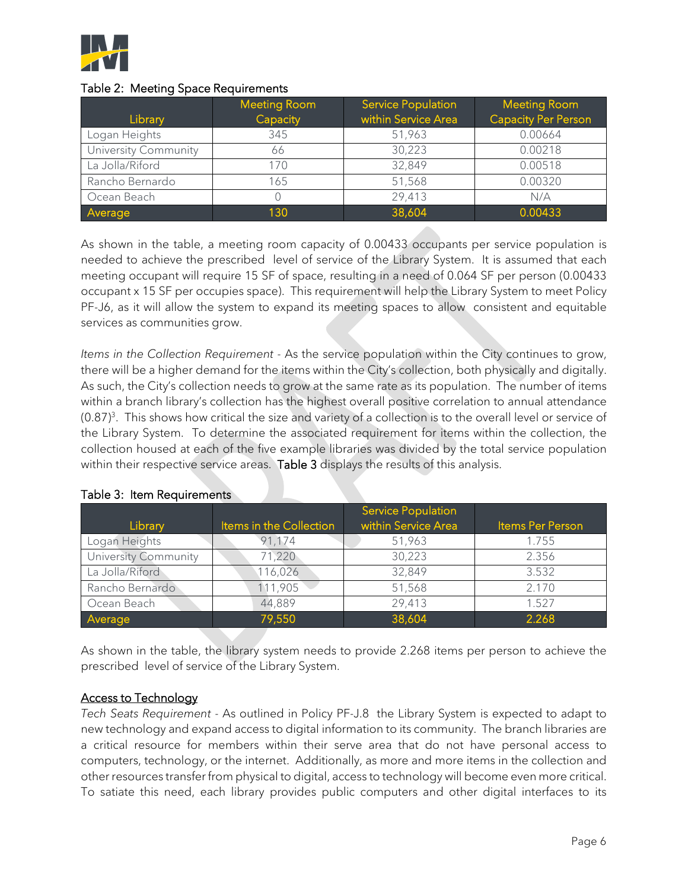

#### Table 2: Meeting Space Requirements

|                      | <b>Meeting Room</b> | <b>Service Population</b> | <b>Meeting Room</b>        |
|----------------------|---------------------|---------------------------|----------------------------|
| Library              | Capacity            | within Service Area       | <b>Capacity Per Person</b> |
| Logan Heights        | 345                 | 51,963                    | 0.00664                    |
| University Community | 66                  | 30,223                    | 0.00218                    |
| La Jolla/Riford      | 170                 | 32,849                    | 0.00518                    |
| Rancho Bernardo      | 165                 | 51,568                    | 0.00320                    |
| Ocean Beach          |                     | 29,413                    | N/A                        |
| Average              | 130                 | 38,604                    | 0.00433                    |

As shown in the table, a meeting room capacity of 0.00433 occupants per service population is needed to achieve the prescribed level of service of the Library System. It is assumed that each meeting occupant will require 15 SF of space, resulting in a need of 0.064 SF per person (0.00433 occupant x 15 SF per occupies space). This requirement will help the Library System to meet Policy PF-J6, as it will allow the system to expand its meeting spaces to allow consistent and equitable services as communities grow.

*Items in the Collection Requirement -* As the service population within the City continues to grow, there will be a higher demand for the items within the City's collection, both physically and digitally. As such, the City's collection needs to grow at the same rate as its population. The number of items within a branch library's collection has the highest overall positive correlation to annual attendance  $(0.87)^3$ . This shows how critical the size and variety of a collection is to the overall level or service of the Library System. To determine the associated requirement for items within the collection, the collection housed at each of the five example libraries was divided by the total service population within their respective service areas. Table 3 displays the results of this analysis.

| Library              | Items in the Collection | <b>Service Population</b><br>within Service Area | Items Per Person |
|----------------------|-------------------------|--------------------------------------------------|------------------|
| Logan Heights        | 91,174                  | 51,963                                           | 1.755            |
| University Community | 71,220                  | 30,223                                           | 2.356            |
| La Jolla/Riford      | 116,026                 | 32,849                                           | 3.532            |
| Rancho Bernardo      | 111,905                 | 51,568                                           | 2.170            |
| Ocean Beach          | 44,889                  | 29,413                                           | 1.527            |
| Average              | 79,550                  | 38,604                                           | 2.268            |

#### Table 3: Item Requirements

As shown in the table, the library system needs to provide 2.268 items per person to achieve the prescribed level of service of the Library System.

#### Access to Technology

*Tech Seats Requirement* - As outlined in Policy PF-J.8 the Library System is expected to adapt to new technology and expand access to digital information to its community. The branch libraries are a critical resource for members within their serve area that do not have personal access to computers, technology, or the internet. Additionally, as more and more items in the collection and other resources transfer from physical to digital, access to technology will become even more critical. To satiate this need, each library provides public computers and other digital interfaces to its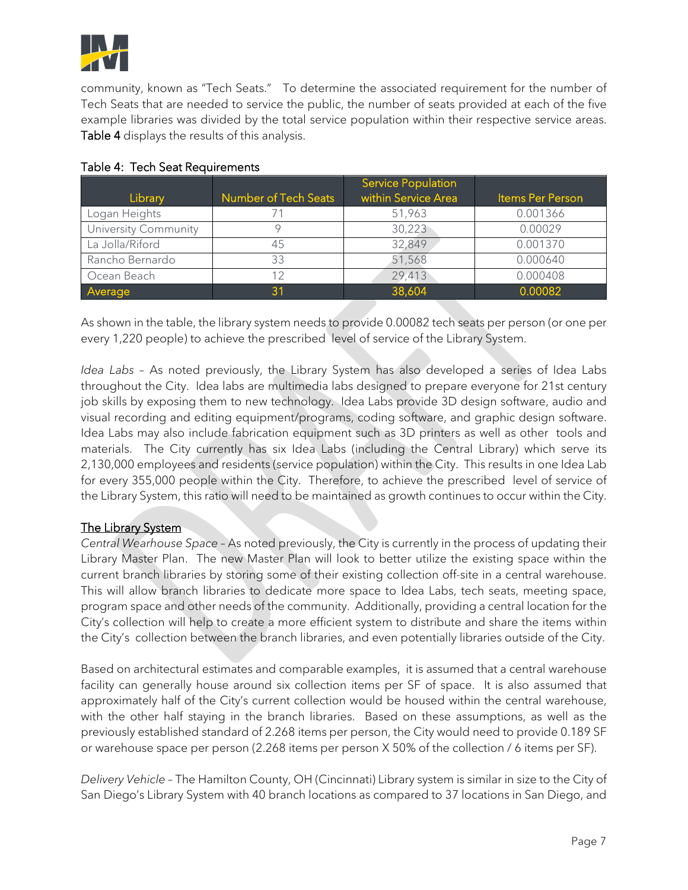

community, known as "Tech Seats." To determine the associated requirement for the number of Tech Seats that are needed to service the public, the number of seats provided at each of the five example libraries was divided by the total service population within their respective service areas. Table 4 displays the results of this analysis.

| Library              | <b>Number of Tech Seats</b> | <b>Service Population</b><br>within Service Area | Items Per Person |
|----------------------|-----------------------------|--------------------------------------------------|------------------|
| Logan Heights        |                             | 51,963                                           | 0.001366         |
| University Community |                             | 30,223                                           | 0.00029          |
| La Jolla/Riford      | 45                          | 32,849                                           | 0.001370         |
| Rancho Bernardo      | 33                          | 51,568                                           | 0.000640         |
| Ocean Beach          | 12                          | 29,413                                           | 0.000408         |
| Average              | 31                          | 38,604                                           | 0.00082          |

#### Table 4: Tech Seat Requirements

As shown in the table, the library system needs to provide 0.00082 tech seats per person (or one per every 1,220 people) to achieve the prescribed level of service of the Library System.

*Idea Labs –* As noted previously, the Library System has also developed a series of Idea Labs throughout the City. Idea labs are multimedia labs designed to prepare everyone for 21st century job skills by exposing them to new technology. Idea Labs provide 3D design software, audio and visual recording and editing equipment/programs, coding software, and graphic design software. Idea Labs may also include fabrication equipment such as 3D printers as well as other tools and materials. The City currently has six Idea Labs (including the Central Library) which serve its 2,130,000 employees and residents (service population) within the City. This results in one Idea Lab for every 355,000 people within the City. Therefore, to achieve the prescribed level of service of the Library System, this ratio will need to be maintained as growth continues to occur within the City.

#### The Library System

*Central Wearhouse Space* – As noted previously, the City is currently in the process of updating their Library Master Plan. The new Master Plan will look to better utilize the existing space within the current branch libraries by storing some of their existing collection off-site in a central warehouse. This will allow branch libraries to dedicate more space to Idea Labs, tech seats, meeting space, program space and other needs of the community. Additionally, providing a central location for the City's collection will help to create a more efficient system to distribute and share the items within the City's collection between the branch libraries, and even potentially libraries outside of the City.

Based on architectural estimates and comparable examples, it is assumed that a central warehouse facility can generally house around six collection items per SF of space. It is also assumed that approximately half of the City's current collection would be housed within the central warehouse, with the other half staying in the branch libraries. Based on these assumptions, as well as the previously established standard of 2.268 items per person, the City would need to provide 0.189 SF or warehouse space per person (2.268 items per person X 50% of the collection / 6 items per SF).

*Delivery Vehicle* – The Hamilton County, OH (Cincinnati) Library system is similar in size to the City of San Diego's Library System with 40 branch locations as compared to 37 locations in San Diego, and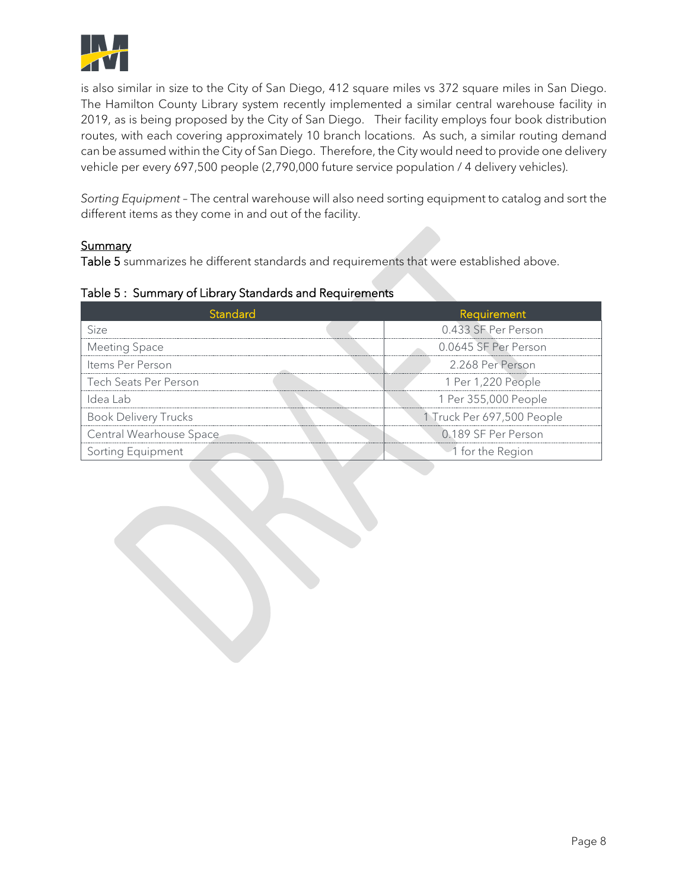

is also similar in size to the City of San Diego, 412 square miles vs 372 square miles in San Diego. The Hamilton County Library system recently implemented a similar central warehouse facility in 2019, as is being proposed by the City of San Diego. Their facility employs four book distribution routes, with each covering approximately 10 branch locations. As such, a similar routing demand can be assumed within the City of San Diego. Therefore, the City would need to provide one delivery vehicle per every 697,500 people (2,790,000 future service population / 4 delivery vehicles).

*Sorting Equipment* – The central warehouse will also need sorting equipment to catalog and sort the different items as they come in and out of the facility.

#### **Summary**

Table 5 summarizes he different standards and requirements that were established above.

|  |  |  |  | Table 5: Summary of Library Standards and Requirements |
|--|--|--|--|--------------------------------------------------------|
|--|--|--|--|--------------------------------------------------------|

| Standard                    | <b>Requirement</b>         |
|-----------------------------|----------------------------|
| Size                        | 0.433 SF Per Person        |
| Meeting Space               | 0.0645 SF Per Person       |
| Items Per Person            | 2.268 Per Person           |
| Tech Seats Per Person       | 1 Per 1,220 People         |
| ldea Lah                    | 1 Per 355,000 People       |
| <b>Book Delivery Trucks</b> | 1 Truck Per 697,500 People |
| Central Wearhouse Space     | 0.189 SF Per Person        |
| rting Equipment             | "1 for the Region          |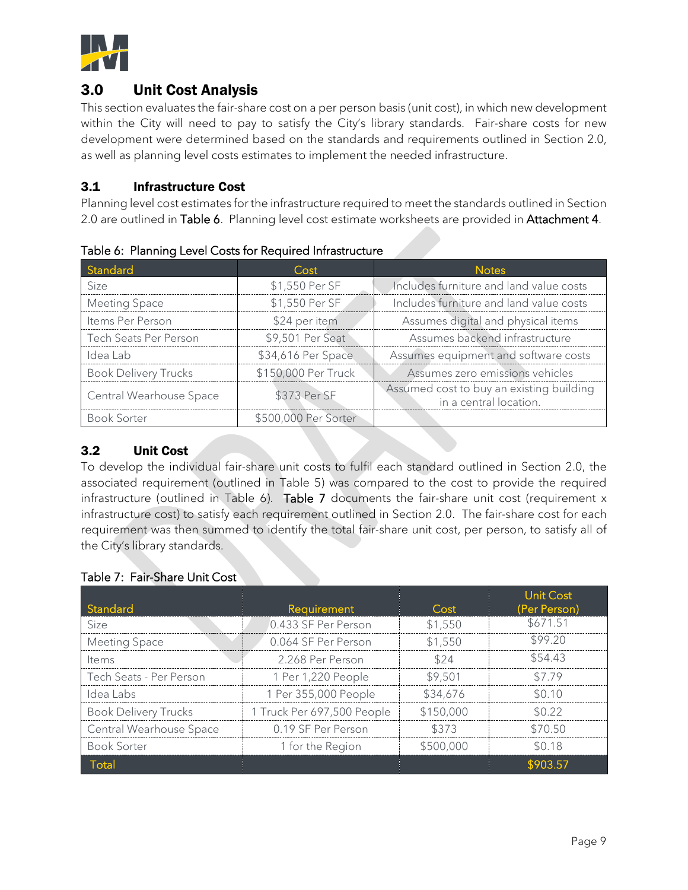

### 3.0 Unit Cost Analysis

This section evaluates the fair-share cost on a per person basis (unit cost), in which new development within the City will need to pay to satisfy the City's library standards. Fair-share costs for new development were determined based on the standards and requirements outlined in Section 2.0, as well as planning level costs estimates to implement the needed infrastructure.

#### 3.1 Infrastructure Cost

Planning level cost estimates for the infrastructure required to meet the standards outlined in Section 2.0 are outlined in Table 6. Planning level cost estimate worksheets are provided in Attachment 4.

| Standard                    | Cost                 | <b>Notes</b>                                                       |  |
|-----------------------------|----------------------|--------------------------------------------------------------------|--|
| Size                        | \$1,550 Per SF       | Includes furniture and land value costs                            |  |
| Meeting Space               | \$1,550 Per SF       | Includes furniture and land value costs                            |  |
| Items Per Person            | \$24 per item        | Assumes digital and physical items                                 |  |
| Tech Seats Per Person       | \$9,501 Per Seat     | Assumes backend infrastructure                                     |  |
| Idea Lab                    | \$34,616 Per Space   | Assumes equipment and software costs                               |  |
| <b>Book Delivery Trucks</b> | \$150,000 Per Truck  | Assumes zero emissions vehicles                                    |  |
| Central Wearhouse Space     | \$373 Per SF         | Assumed cost to buy an existing building<br>in a central location. |  |
| Book Sorter                 | \$500,000 Per Sorter |                                                                    |  |

Table 6: Planning Level Costs for Required Infrastructure

#### 3.2 Unit Cost

To develop the individual fair-share unit costs to fulfil each standard outlined in Section 2.0, the associated requirement (outlined in Table 5) was compared to the cost to provide the required infrastructure (outlined in Table 6). Table 7 documents the fair-share unit cost (requirement  $x$ infrastructure cost) to satisfy each requirement outlined in Section 2.0. The fair-share cost for each requirement was then summed to identify the total fair-share unit cost, per person, to satisfy all of the City's library standards.

|  |  | Table 7: Fair-Share Unit Cost |  |
|--|--|-------------------------------|--|
|--|--|-------------------------------|--|

| Standard                    | Requirement                | Cost      | Unit Cost<br>(Per Person) |
|-----------------------------|----------------------------|-----------|---------------------------|
| Size                        | 0.433 SF Per Person        | \$1.550   | 67151.                    |
| Meeting Space               | 0.064 SF Per Person        | \$1,550   | 599.20                    |
| ltems                       | 2.268 Per Person           |           | 554 43                    |
| Tech Seats - Per Person     | 1 Per 1,220 People         | \$9.501   |                           |
| Idea Labs                   | 1 Per 355,000 People       | \$34.676  |                           |
| <b>Book Delivery Trucks</b> | 1 Truck Per 697,500 People | \$150,000 |                           |
| Central Wearhouse Space     | 0.19 SF Per Person         |           |                           |
| <b>Book Sorter</b>          | 1 for the Region           | \$500.000 |                           |
|                             |                            |           |                           |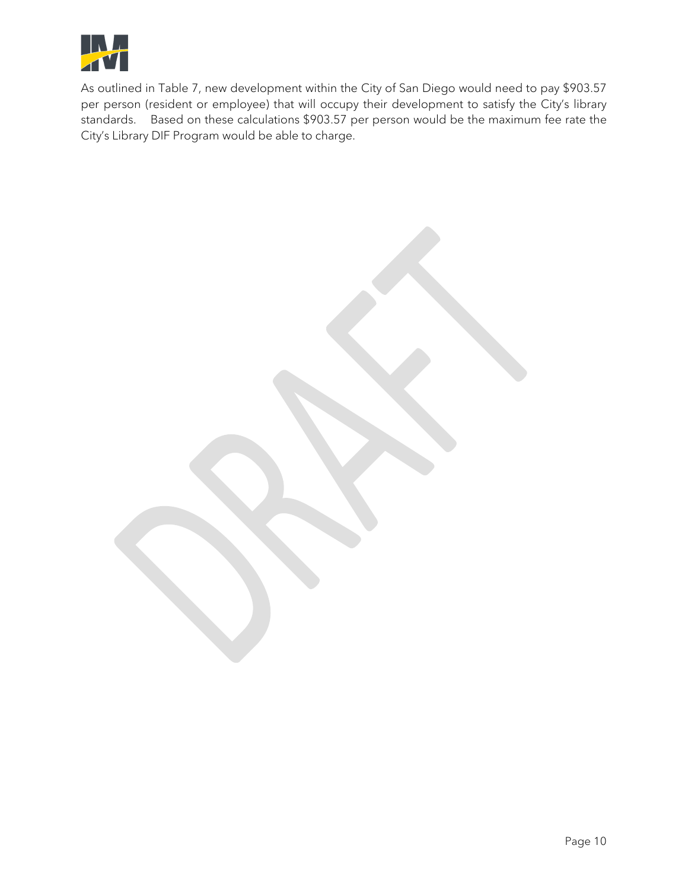

As outlined in Table 7, new development within the City of San Diego would need to pay \$903.57 per person (resident or employee) that will occupy their development to satisfy the City's library standards. Based on these calculations \$903.57 per person would be the maximum fee rate the City's Library DIF Program would be able to charge.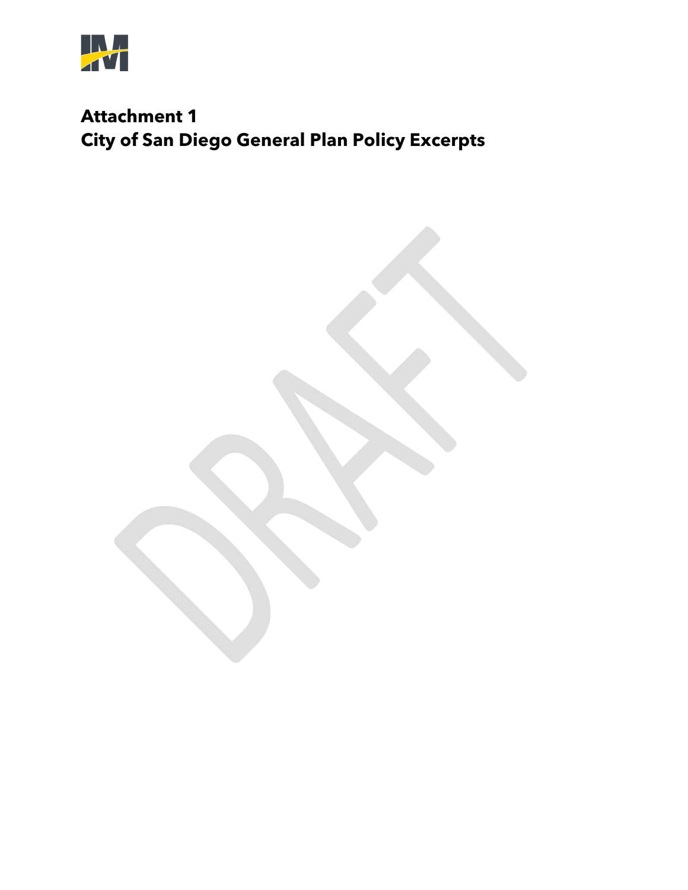

# **Attachment 1 City of San Diego General Plan Policy Excerpts**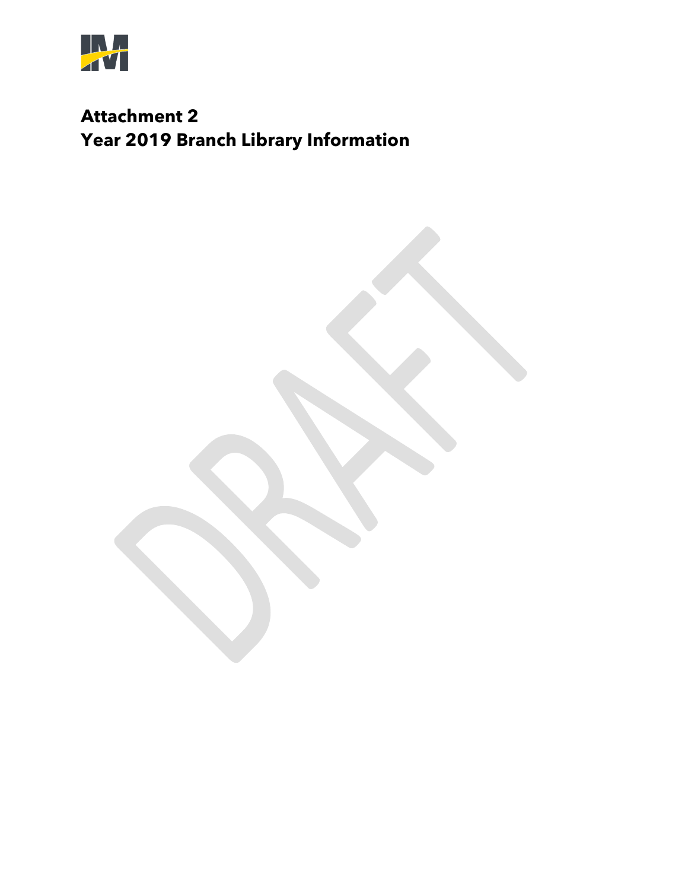

# **Attachment 2 Year 2019 Branch Library Information**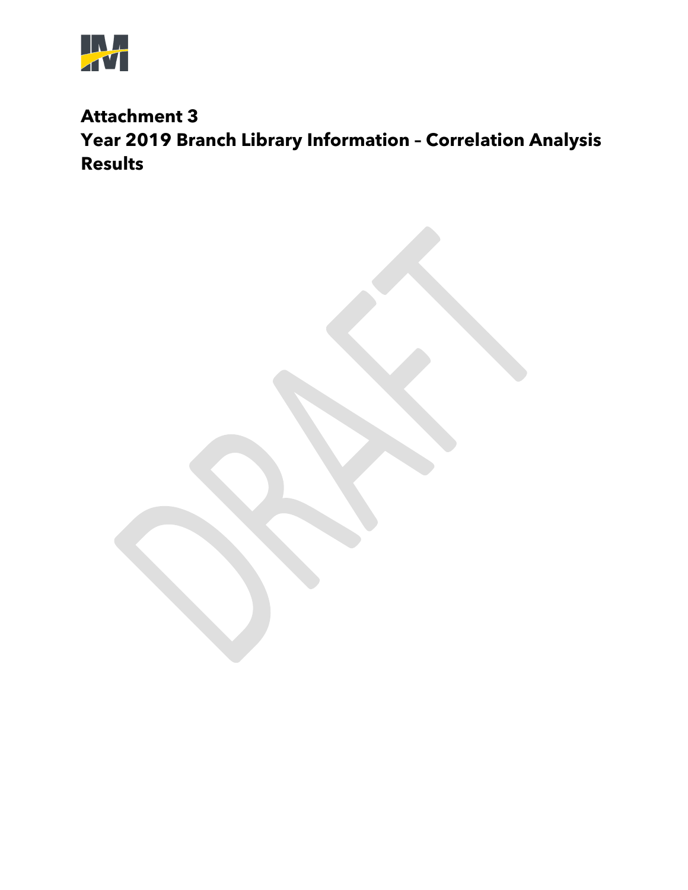

## **Attachment 3 Year 2019 Branch Library Information – Correlation Analysis Results**